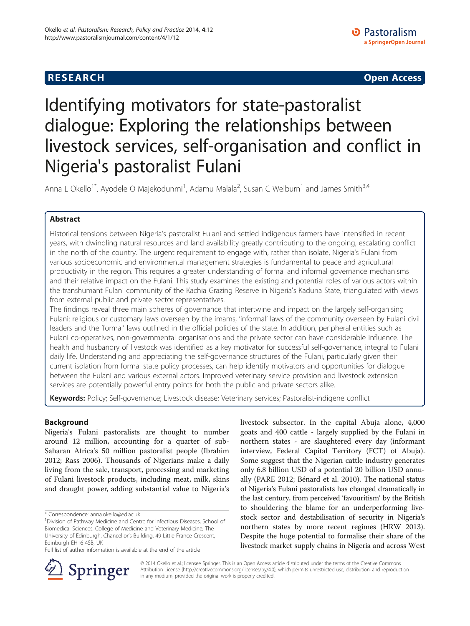**RESEARCH RESEARCH CONSUMING ACCESS** 

# Identifying motivators for state-pastoralist dialogue: Exploring the relationships between livestock services, self-organisation and conflict in Nigeria's pastoralist Fulani

Anna L Okello<sup>1\*</sup>, Ayodele O Majekodunmi<sup>1</sup>, Adamu Malala<sup>2</sup>, Susan C Welburn<sup>1</sup> and James Smith<sup>3,4</sup>

# Abstract

Historical tensions between Nigeria's pastoralist Fulani and settled indigenous farmers have intensified in recent years, with dwindling natural resources and land availability greatly contributing to the ongoing, escalating conflict in the north of the country. The urgent requirement to engage with, rather than isolate, Nigeria's Fulani from various socioeconomic and environmental management strategies is fundamental to peace and agricultural productivity in the region. This requires a greater understanding of formal and informal governance mechanisms and their relative impact on the Fulani. This study examines the existing and potential roles of various actors within the transhumant Fulani community of the Kachia Grazing Reserve in Nigeria's Kaduna State, triangulated with views from external public and private sector representatives.

The findings reveal three main spheres of governance that intertwine and impact on the largely self-organising Fulani: religious or customary laws overseen by the imams, 'informal' laws of the community overseen by Fulani civil leaders and the 'formal' laws outlined in the official policies of the state. In addition, peripheral entities such as Fulani co-operatives, non-governmental organisations and the private sector can have considerable influence. The health and husbandry of livestock was identified as a key motivator for successful self-governance, integral to Fulani daily life. Understanding and appreciating the self-governance structures of the Fulani, particularly given their current isolation from formal state policy processes, can help identify motivators and opportunities for dialogue between the Fulani and various external actors. Improved veterinary service provision and livestock extension services are potentially powerful entry points for both the public and private sectors alike.

Keywords: Policy; Self-governance; Livestock disease; Veterinary services; Pastoralist-indigene conflict

# Background

Nigeria's Fulani pastoralists are thought to number around 12 million, accounting for a quarter of sub-Saharan Africa's 50 million pastoralist people (Ibrahim [2012](#page-12-0); Rass [2006](#page-13-0)). Thousands of Nigerians make a daily living from the sale, transport, processing and marketing of Fulani livestock products, including meat, milk, skins and draught power, adding substantial value to Nigeria's livestock subsector. In the capital Abuja alone, 4,000 goats and 400 cattle - largely supplied by the Fulani in northern states - are slaughtered every day (informant interview, Federal Capital Territory (FCT) of Abuja). Some suggest that the Nigerian cattle industry generates only 6.8 billion USD of a potential 20 billion USD annually (PARE [2012;](#page-13-0) Bénard et al. [2010](#page-12-0)). The national status of Nigeria's Fulani pastoralists has changed dramatically in the last century, from perceived 'favouritism' by the British to shouldering the blame for an underperforming livestock sector and destabilisation of security in Nigeria's northern states by more recent regimes (HRW [2013](#page-12-0)). Despite the huge potential to formalise their share of the livestock market supply chains in Nigeria and across West



© 2014 Okello et al.; licensee Springer. This is an Open Access article distributed under the terms of the Creative Commons Attribution License [\(http://creativecommons.org/licenses/by/4.0\)](http://creativecommons.org/licenses/by/4.0), which permits unrestricted use, distribution, and reproduction in any medium, provided the original work is properly credited.

<sup>\*</sup> Correspondence: [anna.okello@ed.ac.uk](mailto:anna.okello@ed.ac.uk) <sup>1</sup>

<sup>&</sup>lt;sup>1</sup> Division of Pathway Medicine and Centre for Infectious Diseases, School of Biomedical Sciences, College of Medicine and Veterinary Medicine, The University of Edinburgh, Chancellor's Building, 49 Little France Crescent, Edinburgh EH16 4SB, UK

Full list of author information is available at the end of the article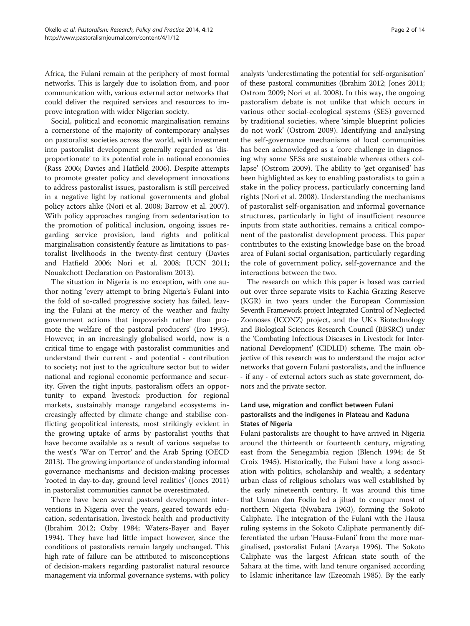Africa, the Fulani remain at the periphery of most formal networks. This is largely due to isolation from, and poor communication with, various external actor networks that could deliver the required services and resources to improve integration with wider Nigerian society.

Social, political and economic marginalisation remains a cornerstone of the majority of contemporary analyses on pastoralist societies across the world, with investment into pastoralist development generally regarded as 'disproportionate' to its potential role in national economies (Rass [2006](#page-13-0); Davies and Hatfield [2006\)](#page-12-0). Despite attempts to promote greater policy and development innovations to address pastoralist issues, pastoralism is still perceived in a negative light by national governments and global policy actors alike (Nori et al. [2008](#page-12-0); Barrow et al. [2007](#page-12-0)). With policy approaches ranging from sedentarisation to the promotion of political inclusion, ongoing issues regarding service provision, land rights and political marginalisation consistently feature as limitations to pastoralist livelihoods in the twenty-first century (Davies and Hatfield [2006](#page-12-0); Nori et al. [2008;](#page-12-0) IUCN [2011](#page-12-0); Nouakchott Declaration on Pastoralism [2013\)](#page-12-0).

The situation in Nigeria is no exception, with one author noting 'every attempt to bring Nigeria's Fulani into the fold of so-called progressive society has failed, leaving the Fulani at the mercy of the weather and faulty government actions that impoverish rather than promote the welfare of the pastoral producers' (Iro [1995](#page-12-0)). However, in an increasingly globalised world, now is a critical time to engage with pastoralist communities and understand their current - and potential - contribution to society; not just to the agriculture sector but to wider national and regional economic performance and security. Given the right inputs, pastoralism offers an opportunity to expand livestock production for regional markets, sustainably manage rangeland ecosystems increasingly affected by climate change and stabilise conflicting geopolitical interests, most strikingly evident in the growing uptake of arms by pastoralist youths that have become available as a result of various sequelae to the west's 'War on Terror' and the Arab Spring (OECD [2013](#page-12-0)). The growing importance of understanding informal governance mechanisms and decision-making processes 'rooted in day-to-day, ground level realities' (Jones [2011](#page-12-0)) in pastoralist communities cannot be overestimated.

There have been several pastoral development interventions in Nigeria over the years, geared towards education, sedentarisation, livestock health and productivity (Ibrahim [2012](#page-12-0); Oxby [1984](#page-12-0); Waters-Bayer and Bayer [1994](#page-13-0)). They have had little impact however, since the conditions of pastoralists remain largely unchanged. This high rate of failure can be attributed to misconceptions of decision-makers regarding pastoralist natural resource management via informal governance systems, with policy analysts 'underestimating the potential for self-organisation' of these pastoral communities (Ibrahim [2012;](#page-12-0) Jones [2011](#page-12-0); Ostrom [2009;](#page-12-0) Nori et al. [2008\)](#page-12-0). In this way, the ongoing pastoralism debate is not unlike that which occurs in various other social-ecological systems (SES) governed by traditional societies, where 'simple blueprint policies do not work' (Ostrom [2009\)](#page-12-0). Identifying and analysing the self-governance mechanisms of local communities has been acknowledged as a 'core challenge in diagnosing why some SESs are sustainable whereas others collapse' (Ostrom [2009](#page-12-0)). The ability to 'get organised' has been highlighted as key to enabling pastoralists to gain a stake in the policy process, particularly concerning land rights (Nori et al. [2008\)](#page-12-0). Understanding the mechanisms of pastoralist self-organisation and informal governance structures, particularly in light of insufficient resource inputs from state authorities, remains a critical component of the pastoralist development process. This paper contributes to the existing knowledge base on the broad area of Fulani social organisation, particularly regarding the role of government policy, self-governance and the interactions between the two.

The research on which this paper is based was carried out over three separate visits to Kachia Grazing Reserve (KGR) in two years under the European Commission Seventh Framework project Integrated Control of Neglected Zoonoses (ICONZ) project, and the UK's Biotechnology and Biological Sciences Research Council (BBSRC) under the 'Combating Infectious Diseases in Livestock for International Development' (CIDLID) scheme. The main objective of this research was to understand the major actor networks that govern Fulani pastoralists, and the influence - if any - of external actors such as state government, donors and the private sector.

# Land use, migration and conflict between Fulani pastoralists and the indigenes in Plateau and Kaduna States of Nigeria

Fulani pastoralists are thought to have arrived in Nigeria around the thirteenth or fourteenth century, migrating east from the Senegambia region (Blench [1994;](#page-12-0) de St Croix [1945\)](#page-12-0). Historically, the Fulani have a long association with politics, scholarship and wealth; a sedentary urban class of religious scholars was well established by the early nineteenth century. It was around this time that Usman dan Fodio led a jihad to conquer most of northern Nigeria (Nwabara [1963\)](#page-12-0), forming the Sokoto Caliphate. The integration of the Fulani with the Hausa ruling systems in the Sokoto Caliphate permanently differentiated the urban 'Hausa-Fulani' from the more marginalised, pastoralist Fulani (Azarya [1996](#page-12-0)). The Sokoto Caliphate was the largest African state south of the Sahara at the time, with land tenure organised according to Islamic inheritance law (Ezeomah [1985\)](#page-12-0). By the early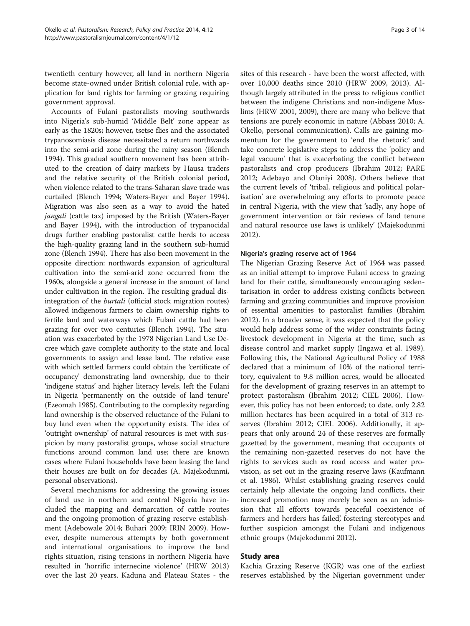twentieth century however, all land in northern Nigeria become state-owned under British colonial rule, with application for land rights for farming or grazing requiring government approval.

Accounts of Fulani pastoralists moving southwards into Nigeria's sub-humid 'Middle Belt' zone appear as early as the 1820s; however, tsetse flies and the associated trypanosomiasis disease necessitated a return northwards into the semi-arid zone during the rainy season (Blench [1994\)](#page-12-0). This gradual southern movement has been attributed to the creation of dairy markets by Hausa traders and the relative security of the British colonial period, when violence related to the trans-Saharan slave trade was curtailed (Blench [1994;](#page-12-0) Waters-Bayer and Bayer [1994](#page-13-0)). Migration was also seen as a way to avoid the hated jangali (cattle tax) imposed by the British (Waters-Bayer and Bayer [1994](#page-13-0)), with the introduction of trypanocidal drugs further enabling pastoralist cattle herds to access the high-quality grazing land in the southern sub-humid zone (Blench [1994\)](#page-12-0). There has also been movement in the opposite direction: northwards expansion of agricultural cultivation into the semi-arid zone occurred from the 1960s, alongside a general increase in the amount of land under cultivation in the region. The resulting gradual disintegration of the burtali (official stock migration routes) allowed indigenous farmers to claim ownership rights to fertile land and waterways which Fulani cattle had been grazing for over two centuries (Blench [1994](#page-12-0)). The situation was exacerbated by the 1978 Nigerian Land Use Decree which gave complete authority to the state and local governments to assign and lease land. The relative ease with which settled farmers could obtain the 'certificate of occupancy' demonstrating land ownership, due to their 'indigene status' and higher literacy levels, left the Fulani in Nigeria 'permanently on the outside of land tenure' (Ezeomah [1985](#page-12-0)). Contributing to the complexity regarding land ownership is the observed reluctance of the Fulani to buy land even when the opportunity exists. The idea of 'outright ownership' of natural resources is met with suspicion by many pastoralist groups, whose social structure functions around common land use; there are known cases where Fulani households have been leasing the land their houses are built on for decades (A. Majekodunmi, personal observations).

Several mechanisms for addressing the growing issues of land use in northern and central Nigeria have included the mapping and demarcation of cattle routes and the ongoing promotion of grazing reserve establishment (Adebowale [2014;](#page-12-0) Buhari [2009](#page-12-0); IRIN [2009](#page-12-0)). However, despite numerous attempts by both government and international organisations to improve the land rights situation, rising tensions in northern Nigeria have resulted in 'horrific internecine violence' (HRW [2013](#page-12-0)) over the last 20 years. Kaduna and Plateau States - the

sites of this research - have been the worst affected, with over 10,000 deaths since 2010 (HRW [2009](#page-12-0), [2013\)](#page-12-0). Although largely attributed in the press to religious conflict between the indigene Christians and non-indigene Muslims (HRW [2001, 2009\)](#page-12-0), there are many who believe that tensions are purely economic in nature (Abbass [2010](#page-12-0); A. Okello, personal communication). Calls are gaining momentum for the government to 'end the rhetoric' and take concrete legislative steps to address the 'policy and legal vacuum' that is exacerbating the conflict between pastoralists and crop producers (Ibrahim [2012](#page-12-0); PARE [2012](#page-13-0); Adebayo and Olaniyi [2008](#page-12-0)). Others believe that the current levels of 'tribal, religious and political polarisation' are overwhelming any efforts to promote peace in central Nigeria, with the view that 'sadly, any hope of government intervention or fair reviews of land tenure and natural resource use laws is unlikely' (Majekodunmi [2012](#page-12-0)).

# Nigeria's grazing reserve act of 1964

The Nigerian Grazing Reserve Act of 1964 was passed as an initial attempt to improve Fulani access to grazing land for their cattle, simultaneously encouraging sedentarisation in order to address existing conflicts between farming and grazing communities and improve provision of essential amenities to pastoralist families (Ibrahim [2012](#page-12-0)). In a broader sense, it was expected that the policy would help address some of the wider constraints facing livestock development in Nigeria at the time, such as disease control and market supply (Ingawa et al. [1989](#page-12-0)). Following this, the National Agricultural Policy of 1988 declared that a minimum of 10% of the national territory, equivalent to 9.8 million acres, would be allocated for the development of grazing reserves in an attempt to protect pastoralism (Ibrahim [2012;](#page-12-0) CIEL [2006\)](#page-12-0). However, this policy has not been enforced; to date, only 2.82 million hectares has been acquired in a total of 313 reserves (Ibrahim [2012;](#page-12-0) CIEL [2006](#page-12-0)). Additionally, it appears that only around 24 of these reserves are formally gazetted by the government, meaning that occupants of the remaining non-gazetted reserves do not have the rights to services such as road access and water provision, as set out in the grazing reserve laws (Kaufmann et al. [1986](#page-12-0)). Whilst establishing grazing reserves could certainly help alleviate the ongoing land conflicts, their increased promotion may merely be seen as an 'admission that all efforts towards peaceful coexistence of farmers and herders has failed', fostering stereotypes and further suspicion amongst the Fulani and indigenous ethnic groups (Majekodunmi [2012](#page-12-0)).

# Study area

Kachia Grazing Reserve (KGR) was one of the earliest reserves established by the Nigerian government under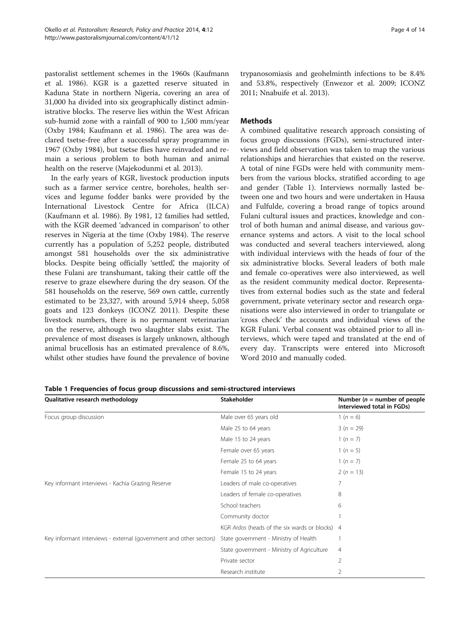pastoralist settlement schemes in the 1960s (Kaufmann et al. [1986](#page-12-0)). KGR is a gazetted reserve situated in Kaduna State in northern Nigeria, covering an area of 31,000 ha divided into six geographically distinct administrative blocks. The reserve lies within the West African sub-humid zone with a rainfall of 900 to 1,500 mm/year (Oxby [1984](#page-12-0); Kaufmann et al. [1986](#page-12-0)). The area was declared tsetse-free after a successful spray programme in 1967 (Oxby [1984\)](#page-12-0), but tsetse flies have reinvaded and remain a serious problem to both human and animal health on the reserve (Majekodunmi et al. [2013\)](#page-12-0).

In the early years of KGR, livestock production inputs such as a farmer service centre, boreholes, health services and legume fodder banks were provided by the International Livestock Centre for Africa (ILCA) (Kaufmann et al. [1986\)](#page-12-0). By 1981, 12 families had settled, with the KGR deemed 'advanced in comparison' to other reserves in Nigeria at the time (Oxby [1984](#page-12-0)). The reserve currently has a population of 5,252 people, distributed amongst 581 households over the six administrative blocks. Despite being officially 'settled', the majority of these Fulani are transhumant, taking their cattle off the reserve to graze elsewhere during the dry season. Of the 581 households on the reserve, 569 own cattle, currently estimated to be 23,327, with around 5,914 sheep, 5,058 goats and 123 donkeys (ICONZ [2011](#page-12-0)). Despite these livestock numbers, there is no permanent veterinarian on the reserve, although two slaughter slabs exist. The prevalence of most diseases is largely unknown, although animal brucellosis has an estimated prevalence of 8.6%, whilst other studies have found the prevalence of bovine trypanosomiasis and geohelminth infections to be 8.4% and 53.8%, respectively (Enwezor et al. [2009;](#page-12-0) ICONZ [2011](#page-12-0); Nnabuife et al. [2013](#page-12-0)).

# **Methods**

A combined qualitative research approach consisting of focus group discussions (FGDs), semi-structured interviews and field observation was taken to map the various relationships and hierarchies that existed on the reserve. A total of nine FGDs were held with community members from the various blocks, stratified according to age and gender (Table 1). Interviews normally lasted between one and two hours and were undertaken in Hausa and Fulfulde, covering a broad range of topics around Fulani cultural issues and practices, knowledge and control of both human and animal disease, and various governance systems and actors. A visit to the local school was conducted and several teachers interviewed, along with individual interviews with the heads of four of the six administrative blocks. Several leaders of both male and female co-operatives were also interviewed, as well as the resident community medical doctor. Representatives from external bodies such as the state and federal government, private veterinary sector and research organisations were also interviewed in order to triangulate or 'cross check' the accounts and individual views of the KGR Fulani. Verbal consent was obtained prior to all interviews, which were taped and translated at the end of every day. Transcripts were entered into Microsoft Word 2010 and manually coded.

| Qualitative research methodology                                   | Stakeholder                                    | Number ( $n =$ number of people<br>interviewed total in FGDs) |
|--------------------------------------------------------------------|------------------------------------------------|---------------------------------------------------------------|
| Focus group discussion                                             | Male over 65 years old                         | $1(n = 6)$                                                    |
|                                                                    | Male 25 to 64 years                            | $3(n = 29)$                                                   |
|                                                                    | Male 15 to 24 years                            | $1(n = 7)$                                                    |
|                                                                    | Female over 65 years                           | $1 (n = 5)$                                                   |
|                                                                    | Female 25 to 64 years                          | $1(n = 7)$                                                    |
|                                                                    | Female 15 to 24 years                          | $2(n = 13)$                                                   |
| Key informant interviews - Kachia Grazing Reserve                  | Leaders of male co-operatives                  | 7                                                             |
|                                                                    | Leaders of female co-operatives                | 8                                                             |
|                                                                    | School teachers                                | 6                                                             |
|                                                                    | Community doctor                               |                                                               |
|                                                                    | KGR Ardos (heads of the six wards or blocks) 4 |                                                               |
| Key informant interviews - external (government and other sectors) | State government - Ministry of Health          |                                                               |
|                                                                    | State government - Ministry of Agriculture     | 4                                                             |
|                                                                    | Private sector                                 | 2                                                             |
|                                                                    | Research institute                             | 2                                                             |

Table 1 Frequencies of focus group discussions and semi-structured interviews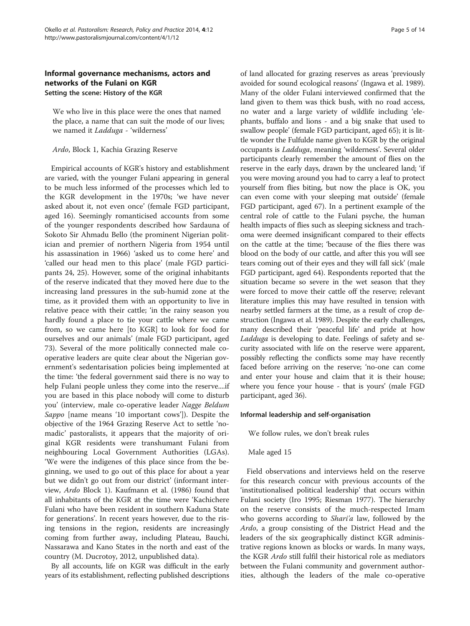# Informal governance mechanisms, actors and networks of the Fulani on KGR Setting the scene: History of the KGR

We who live in this place were the ones that named the place, a name that can suit the mode of our lives; we named it Ladduga - 'wilderness'

### Ardo, Block 1, Kachia Grazing Reserve

Empirical accounts of KGR's history and establishment are varied, with the younger Fulani appearing in general to be much less informed of the processes which led to the KGR development in the 1970s; 'we have never asked about it, not even once' (female FGD participant, aged 16). Seemingly romanticised accounts from some of the younger respondents described how Sardauna of Sokoto Sir Ahmadu Bello (the prominent Nigerian politician and premier of northern Nigeria from 1954 until his assassination in 1966) 'asked us to come here' and 'called our head men to this place' (male FGD participants 24, 25). However, some of the original inhabitants of the reserve indicated that they moved here due to the increasing land pressures in the sub-humid zone at the time, as it provided them with an opportunity to live in relative peace with their cattle; 'in the rainy season you hardly found a place to tie your cattle where we came from, so we came here [to KGR] to look for food for ourselves and our animals' (male FGD participant, aged 73). Several of the more politically connected male cooperative leaders are quite clear about the Nigerian government's sedentarisation policies being implemented at the time: 'the federal government said there is no way to help Fulani people unless they come into the reserve....if you are based in this place nobody will come to disturb you' (interview, male co-operative leader Nagge Beldum Sappo [name means '10 important cows']). Despite the objective of the 1964 Grazing Reserve Act to settle 'nomadic' pastoralists, it appears that the majority of original KGR residents were transhumant Fulani from neighbouring Local Government Authorities (LGAs). 'We were the indigenes of this place since from the beginning, we used to go out of this place for about a year but we didn't go out from our district' (informant interview, Ardo Block 1). Kaufmann et al. [\(1986\)](#page-12-0) found that all inhabitants of the KGR at the time were 'Kachichere Fulani who have been resident in southern Kaduna State for generations'. In recent years however, due to the rising tensions in the region, residents are increasingly coming from further away, including Plateau, Bauchi, Nassarawa and Kano States in the north and east of the country (M. Ducrotoy, 2012, unpublished data).

By all accounts, life on KGR was difficult in the early years of its establishment, reflecting published descriptions

of land allocated for grazing reserves as areas 'previously avoided for sound ecological reasons' (Ingawa et al. [1989](#page-12-0)). Many of the older Fulani interviewed confirmed that the land given to them was thick bush, with no road access, no water and a large variety of wildlife including 'elephants, buffalo and lions - and a big snake that used to swallow people' (female FGD participant, aged 65); it is little wonder the Fulfulde name given to KGR by the original occupants is Ladduga, meaning 'wilderness'. Several older participants clearly remember the amount of flies on the reserve in the early days, drawn by the uncleared land; 'if you were moving around you had to carry a leaf to protect yourself from flies biting, but now the place is OK, you can even come with your sleeping mat outside' (female FGD participant, aged 67). In a pertinent example of the central role of cattle to the Fulani psyche, the human health impacts of flies such as sleeping sickness and trachoma were deemed insignificant compared to their effects on the cattle at the time; 'because of the flies there was blood on the body of our cattle, and after this you will see tears coming out of their eyes and they will fall sick' (male FGD participant, aged 64). Respondents reported that the situation became so severe in the wet season that they were forced to move their cattle off the reserve; relevant literature implies this may have resulted in tension with nearby settled farmers at the time, as a result of crop destruction (Ingawa et al. [1989\)](#page-12-0). Despite the early challenges, many described their 'peaceful life' and pride at how Ladduga is developing to date. Feelings of safety and security associated with life on the reserve were apparent, possibly reflecting the conflicts some may have recently faced before arriving on the reserve; 'no-one can come and enter your house and claim that it is their house; where you fence your house - that is yours' (male FGD participant, aged 36).

# Informal leadership and self-organisation

We follow rules, we don't break rules

### Male aged 15

Field observations and interviews held on the reserve for this research concur with previous accounts of the 'institutionalised political leadership' that occurs within Fulani society (Iro [1995](#page-12-0); Riesman [1977](#page-13-0)). The hierarchy on the reserve consists of the much-respected Imam who governs according to *Shari'a* law, followed by the Ardo, a group consisting of the District Head and the leaders of the six geographically distinct KGR administrative regions known as blocks or wards. In many ways, the KGR Ardo still fulfil their historical role as mediators between the Fulani community and government authorities, although the leaders of the male co-operative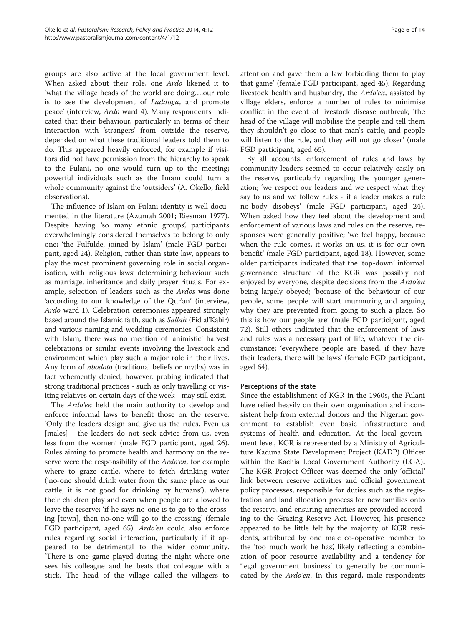groups are also active at the local government level. When asked about their role, one Ardo likened it to 'what the village heads of the world are doing….our role is to see the development of Ladduga, and promote peace' (interview, Ardo ward 4). Many respondents indicated that their behaviour, particularly in terms of their interaction with 'strangers' from outside the reserve, depended on what these traditional leaders told them to do. This appeared heavily enforced, for example if visitors did not have permission from the hierarchy to speak to the Fulani, no one would turn up to the meeting; powerful individuals such as the Imam could turn a whole community against the 'outsiders' (A. Okello, field observations).

The influence of Islam on Fulani identity is well documented in the literature (Azumah [2001](#page-12-0); Riesman [1977](#page-13-0)). Despite having 'so many ethnic groups', participants overwhelmingly considered themselves to belong to only one; 'the Fulfulde, joined by Islam' (male FGD participant, aged 24). Religion, rather than state law, appears to play the most prominent governing role in social organisation, with 'religious laws' determining behaviour such as marriage, inheritance and daily prayer rituals. For example, selection of leaders such as the Ardos was done 'according to our knowledge of the Qur'an' (interview, Ardo ward 1). Celebration ceremonies appeared strongly based around the Islamic faith, such as Sallah (Eid al'Kabir) and various naming and wedding ceremonies. Consistent with Islam, there was no mention of 'animistic' harvest celebrations or similar events involving the livestock and environment which play such a major role in their lives. Any form of nbodoto (traditional beliefs or myths) was in fact vehemently denied; however, probing indicated that strong traditional practices - such as only travelling or visiting relatives on certain days of the week - may still exist.

The Ardo'en held the main authority to develop and enforce informal laws to benefit those on the reserve. 'Only the leaders design and give us the rules. Even us [males] - the leaders do not seek advice from us, even less from the women' (male FGD participant, aged 26). Rules aiming to promote health and harmony on the reserve were the responsibility of the *Ardo'en*, for example where to graze cattle, where to fetch drinking water ('no-one should drink water from the same place as our cattle, it is not good for drinking by humans'), where their children play and even when people are allowed to leave the reserve; 'if he says no-one is to go to the crossing [town], then no-one will go to the crossing' (female FGD participant, aged 65). Ardo'en could also enforce rules regarding social interaction, particularly if it appeared to be detrimental to the wider community. 'There is one game played during the night where one sees his colleague and he beats that colleague with a stick. The head of the village called the villagers to

attention and gave them a law forbidding them to play that game' (female FGD participant, aged 45). Regarding livestock health and husbandry, the Ardo'en, assisted by village elders, enforce a number of rules to minimise conflict in the event of livestock disease outbreak; 'the head of the village will mobilise the people and tell them they shouldn't go close to that man's cattle, and people will listen to the rule, and they will not go closer' (male FGD participant, aged 65).

By all accounts, enforcement of rules and laws by community leaders seemed to occur relatively easily on the reserve, particularly regarding the younger generation; 'we respect our leaders and we respect what they say to us and we follow rules - if a leader makes a rule no-body disobeys' (male FGD participant, aged 24). When asked how they feel about the development and enforcement of various laws and rules on the reserve, responses were generally positive; 'we feel happy, because when the rule comes, it works on us, it is for our own benefit' (male FGD participant, aged 18). However, some older participants indicated that the 'top-down' informal governance structure of the KGR was possibly not enjoyed by everyone, despite decisions from the Ardo'en being largely obeyed; 'because of the behaviour of our people, some people will start murmuring and arguing why they are prevented from going to such a place. So this is how our people are' (male FGD participant, aged 72). Still others indicated that the enforcement of laws and rules was a necessary part of life, whatever the circumstance; 'everywhere people are based, if they have their leaders, there will be laws' (female FGD participant, aged 64).

### Perceptions of the state

Since the establishment of KGR in the 1960s, the Fulani have relied heavily on their own organisation and inconsistent help from external donors and the Nigerian government to establish even basic infrastructure and systems of health and education. At the local government level, KGR is represented by a Ministry of Agriculture Kaduna State Development Project (KADP) Officer within the Kachia Local Government Authority (LGA). The KGR Project Officer was deemed the only 'official' link between reserve activities and official government policy processes, responsible for duties such as the registration and land allocation process for new families onto the reserve, and ensuring amenities are provided according to the Grazing Reserve Act. However, his presence appeared to be little felt by the majority of KGR residents, attributed by one male co-operative member to the 'too much work he has', likely reflecting a combination of poor resource availability and a tendency for 'legal government business' to generally be communicated by the Ardo'en. In this regard, male respondents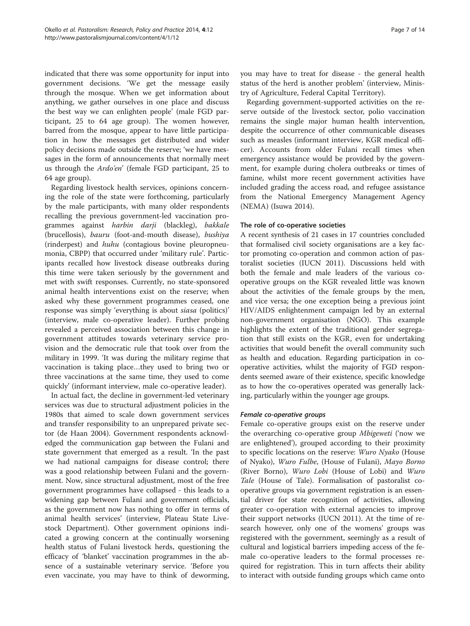indicated that there was some opportunity for input into government decisions. 'We get the message easily through the mosque. When we get information about anything, we gather ourselves in one place and discuss the best way we can enlighten people' (male FGD participant, 25 to 64 age group). The women however, barred from the mosque, appear to have little participation in how the messages get distributed and wider policy decisions made outside the reserve; 'we have messages in the form of announcements that normally meet us through the Ardo'en' (female FGD participant, 25 to 64 age group).

Regarding livestock health services, opinions concerning the role of the state were forthcoming, particularly by the male participants, with many older respondents recalling the previous government-led vaccination programmes against harbin darji (blackleg), bakkale (brucellosis), bauru (foot-and-mouth disease), bushiya (rinderpest) and huhu (contagious bovine pleuropneumonia, CBPP) that occurred under 'military rule'. Participants recalled how livestock disease outbreaks during this time were taken seriously by the government and met with swift responses. Currently, no state-sponsored animal health interventions exist on the reserve; when asked why these government programmes ceased, one response was simply 'everything is about siasa (politics)' (interview, male co-operative leader). Further probing revealed a perceived association between this change in government attitudes towards veterinary service provision and the democratic rule that took over from the military in 1999. 'It was during the military regime that vaccination is taking place…they used to bring two or three vaccinations at the same time, they used to come quickly' (informant interview, male co-operative leader).

In actual fact, the decline in government-led veterinary services was due to structural adjustment policies in the 1980s that aimed to scale down government services and transfer responsibility to an unprepared private sector (de Haan [2004\)](#page-12-0). Government respondents acknowledged the communication gap between the Fulani and state government that emerged as a result. 'In the past we had national campaigns for disease control; there was a good relationship between Fulani and the government. Now, since structural adjustment, most of the free government programmes have collapsed - this leads to a widening gap between Fulani and government officials, as the government now has nothing to offer in terms of animal health services' (interview, Plateau State Livestock Department). Other government opinions indicated a growing concern at the continually worsening health status of Fulani livestock herds, questioning the efficacy of 'blanket' vaccination programmes in the absence of a sustainable veterinary service. 'Before you even vaccinate, you may have to think of deworming, you may have to treat for disease - the general health status of the herd is another problem' (interview, Ministry of Agriculture, Federal Capital Territory).

Regarding government-supported activities on the reserve outside of the livestock sector, polio vaccination remains the single major human health intervention, despite the occurrence of other communicable diseases such as measles (informant interview, KGR medical officer). Accounts from older Fulani recall times when emergency assistance would be provided by the government, for example during cholera outbreaks or times of famine, whilst more recent government activities have included grading the access road, and refugee assistance from the National Emergency Management Agency (NEMA) (Isuwa [2014\)](#page-12-0).

### The role of co-operative societies

A recent synthesis of 21 cases in 17 countries concluded that formalised civil society organisations are a key factor promoting co-operation and common action of pastoralist societies (IUCN [2011\)](#page-12-0). Discussions held with both the female and male leaders of the various cooperative groups on the KGR revealed little was known about the activities of the female groups by the men, and vice versa; the one exception being a previous joint HIV/AIDS enlightenment campaign led by an external non-government organisation (NGO). This example highlights the extent of the traditional gender segregation that still exists on the KGR, even for undertaking activities that would benefit the overall community such as health and education. Regarding participation in cooperative activities, whilst the majority of FGD respondents seemed aware of their existence, specific knowledge as to how the co-operatives operated was generally lacking, particularly within the younger age groups.

Female co-operative groups Female co-operative groups exist on the reserve under the overarching co-operative group Mbigeweti ('now we are enlightened'), grouped according to their proximity to specific locations on the reserve: Wuro Nyako (House of Nyako), Wuro Fulbe, (House of Fulani), Mayo Borno (River Borno), Wuro Lobi (House of Lobi) and Wuro Tale (House of Tale). Formalisation of pastoralist cooperative groups via government registration is an essential driver for state recognition of activities, allowing greater co-operation with external agencies to improve their support networks (IUCN [2011](#page-12-0)). At the time of research however, only one of the womens' groups was registered with the government, seemingly as a result of cultural and logistical barriers impeding access of the female co-operative leaders to the formal processes required for registration. This in turn affects their ability to interact with outside funding groups which came onto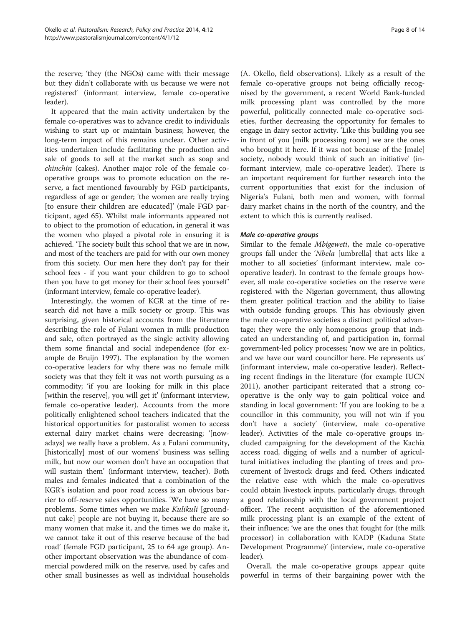the reserve; 'they (the NGOs) came with their message but they didn't collaborate with us because we were not registered' (informant interview, female co-operative leader).

It appeared that the main activity undertaken by the female co-operatives was to advance credit to individuals wishing to start up or maintain business; however, the long-term impact of this remains unclear. Other activities undertaken include facilitating the production and sale of goods to sell at the market such as soap and chinchin (cakes). Another major role of the female cooperative groups was to promote education on the reserve, a fact mentioned favourably by FGD participants, regardless of age or gender; 'the women are really trying [to ensure their children are educated]' (male FGD participant, aged 65). Whilst male informants appeared not to object to the promotion of education, in general it was the women who played a pivotal role in ensuring it is achieved. 'The society built this school that we are in now, and most of the teachers are paid for with our own money from this society. Our men here they don't pay for their school fees - if you want your children to go to school then you have to get money for their school fees yourself' (informant interview, female co-operative leader).

Interestingly, the women of KGR at the time of research did not have a milk society or group. This was surprising, given historical accounts from the literature describing the role of Fulani women in milk production and sale, often portrayed as the single activity allowing them some financial and social independence (for example de Bruijn [1997](#page-12-0)). The explanation by the women co-operative leaders for why there was no female milk society was that they felt it was not worth pursuing as a commodity; 'if you are looking for milk in this place [within the reserve], you will get it' (informant interview, female co-operative leader). Accounts from the more politically enlightened school teachers indicated that the historical opportunities for pastoralist women to access external dairy market chains were decreasing; '[nowadays] we really have a problem. As a Fulani community, [historically] most of our womens' business was selling milk, but now our women don't have an occupation that will sustain them' (informant interview, teacher). Both males and females indicated that a combination of the KGR's isolation and poor road access is an obvious barrier to off-reserve sales opportunities. 'We have so many problems. Some times when we make Kulikuli [groundnut cake] people are not buying it, because there are so many women that make it, and the times we do make it, we cannot take it out of this reserve because of the bad road' (female FGD participant, 25 to 64 age group). Another important observation was the abundance of commercial powdered milk on the reserve, used by cafes and other small businesses as well as individual households

(A. Okello, field observations). Likely as a result of the female co-operative groups not being officially recognised by the government, a recent World Bank-funded milk processing plant was controlled by the more powerful, politically connected male co-operative societies, further decreasing the opportunity for females to engage in dairy sector activity. 'Like this building you see in front of you [milk processing room] we are the ones who brought it here. If it was not because of the [male] society, nobody would think of such an initiative' (informant interview, male co-operative leader). There is an important requirement for further research into the current opportunities that exist for the inclusion of Nigeria's Fulani, both men and women, with formal dairy market chains in the north of the country, and the extent to which this is currently realised.

Similar to the female *Mbigeweti*, the male co-operative groups fall under the 'Nbela [umbrella] that acts like a mother to all societies' (informant interview, male cooperative leader). In contrast to the female groups however, all male co-operative societies on the reserve were registered with the Nigerian government, thus allowing them greater political traction and the ability to liaise with outside funding groups. This has obviously given the male co-operative societies a distinct political advantage; they were the only homogenous group that indicated an understanding of, and participation in, formal government-led policy processes; 'now we are in politics, and we have our ward councillor here. He represents us' (informant interview, male co-operative leader). Reflecting recent findings in the literature (for example IUCN [2011](#page-12-0)), another participant reiterated that a strong cooperative is the only way to gain political voice and standing in local government: 'If you are looking to be a councillor in this community, you will not win if you don't have a society' (interview, male co-operative leader). Activities of the male co-operative groups included campaigning for the development of the Kachia access road, digging of wells and a number of agricultural initiatives including the planting of trees and procurement of livestock drugs and feed. Others indicated the relative ease with which the male co-operatives could obtain livestock inputs, particularly drugs, through a good relationship with the local government project officer. The recent acquisition of the aforementioned milk processing plant is an example of the extent of their influence; 'we are the ones that fought for (the milk processor) in collaboration with KADP (Kaduna State Development Programme)' (interview, male co-operative leader).

Overall, the male co-operative groups appear quite powerful in terms of their bargaining power with the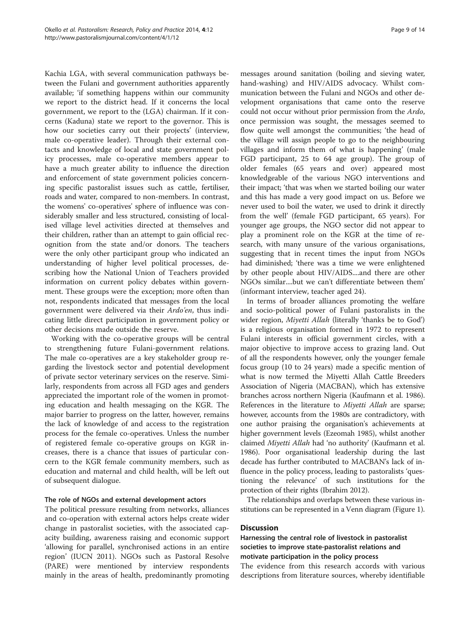Kachia LGA, with several communication pathways between the Fulani and government authorities apparently available; 'if something happens within our community we report to the district head. If it concerns the local government, we report to the (LGA) chairman. If it concerns (Kaduna) state we report to the governor. This is how our societies carry out their projects' (interview, male co-operative leader). Through their external contacts and knowledge of local and state government policy processes, male co-operative members appear to have a much greater ability to influence the direction and enforcement of state government policies concerning specific pastoralist issues such as cattle, fertiliser, roads and water, compared to non-members. In contrast, the womens' co-operatives' sphere of influence was considerably smaller and less structured, consisting of localised village level activities directed at themselves and their children, rather than an attempt to gain official recognition from the state and/or donors. The teachers were the only other participant group who indicated an understanding of higher level political processes, describing how the National Union of Teachers provided information on current policy debates within government. These groups were the exception; more often than not, respondents indicated that messages from the local government were delivered via their Ardo'en, thus indicating little direct participation in government policy or other decisions made outside the reserve.

Working with the co-operative groups will be central to strengthening future Fulani-government relations. The male co-operatives are a key stakeholder group regarding the livestock sector and potential development of private sector veterinary services on the reserve. Similarly, respondents from across all FGD ages and genders appreciated the important role of the women in promoting education and health messaging on the KGR. The major barrier to progress on the latter, however, remains the lack of knowledge of and access to the registration process for the female co-operatives. Unless the number of registered female co-operative groups on KGR increases, there is a chance that issues of particular concern to the KGR female community members, such as education and maternal and child health, will be left out of subsequent dialogue.

### The role of NGOs and external development actors

The political pressure resulting from networks, alliances and co-operation with external actors helps create wider change in pastoralist societies, with the associated capacity building, awareness raising and economic support 'allowing for parallel, synchronised actions in an entire region' (IUCN [2011](#page-12-0)). NGOs such as Pastoral Resolve (PARE) were mentioned by interview respondents mainly in the areas of health, predominantly promoting

messages around sanitation (boiling and sieving water, hand-washing) and HIV/AIDS advocacy. Whilst communication between the Fulani and NGOs and other development organisations that came onto the reserve could not occur without prior permission from the *Ardo*, once permission was sought, the messages seemed to flow quite well amongst the communities; 'the head of the village will assign people to go to the neighbouring villages and inform them of what is happening' (male FGD participant, 25 to 64 age group). The group of older females (65 years and over) appeared most knowledgeable of the various NGO interventions and their impact; 'that was when we started boiling our water and this has made a very good impact on us. Before we never used to boil the water, we used to drink it directly from the well' (female FGD participant, 65 years). For younger age groups, the NGO sector did not appear to play a prominent role on the KGR at the time of research, with many unsure of the various organisations, suggesting that in recent times the input from NGOs had diminished; 'there was a time we were enlightened by other people about HIV/AIDS....and there are other NGOs similar....but we can't differentiate between them' (informant interview, teacher aged 24).

In terms of broader alliances promoting the welfare and socio-political power of Fulani pastoralists in the wider region, Miyetti Allah (literally 'thanks be to God') is a religious organisation formed in 1972 to represent Fulani interests in official government circles, with a major objective to improve access to grazing land. Out of all the respondents however, only the younger female focus group (10 to 24 years) made a specific mention of what is now termed the Miyetti Allah Cattle Breeders Association of Nigeria (MACBAN), which has extensive branches across northern Nigeria (Kaufmann et al. [1986](#page-12-0)). References in the literature to Miyetti Allah are sparse; however, accounts from the 1980s are contradictory, with one author praising the organisation's achievements at higher government levels (Ezeomah [1985](#page-12-0)), whilst another claimed Miyetti Allah had 'no authority' (Kaufmann et al. [1986](#page-12-0)). Poor organisational leadership during the last decade has further contributed to MACBAN's lack of influence in the policy process, leading to pastoralists 'questioning the relevance' of such institutions for the protection of their rights (Ibrahim [2012\)](#page-12-0).

The relationships and overlaps between these various institutions can be represented in a Venn diagram (Figure [1](#page-9-0)).

### **Discussion**

Harnessing the central role of livestock in pastoralist societies to improve state-pastoralist relations and motivate participation in the policy process

The evidence from this research accords with various descriptions from literature sources, whereby identifiable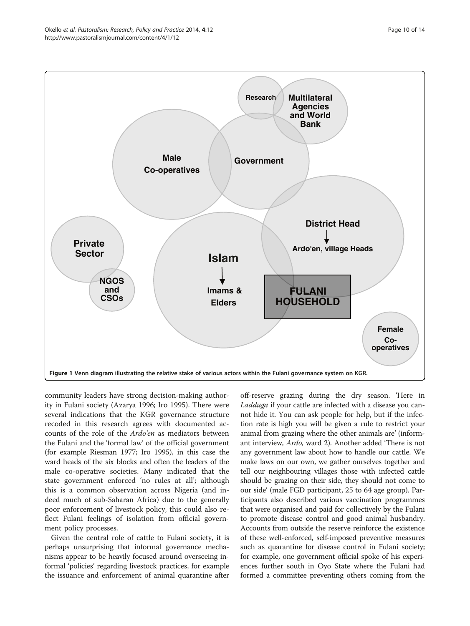<span id="page-9-0"></span>

community leaders have strong decision-making authority in Fulani society (Azarya [1996](#page-12-0); Iro [1995](#page-12-0)). There were several indications that the KGR governance structure recoded in this research agrees with documented accounts of the role of the Ardo'en as mediators between the Fulani and the 'formal law' of the official government (for example Riesman [1977](#page-13-0); Iro [1995\)](#page-12-0), in this case the ward heads of the six blocks and often the leaders of the male co-operative societies. Many indicated that the state government enforced 'no rules at all'; although this is a common observation across Nigeria (and indeed much of sub-Saharan Africa) due to the generally poor enforcement of livestock policy, this could also reflect Fulani feelings of isolation from official government policy processes.

Given the central role of cattle to Fulani society, it is perhaps unsurprising that informal governance mechanisms appear to be heavily focused around overseeing informal 'policies' regarding livestock practices, for example the issuance and enforcement of animal quarantine after off-reserve grazing during the dry season. 'Here in Ladduga if your cattle are infected with a disease you cannot hide it. You can ask people for help, but if the infection rate is high you will be given a rule to restrict your animal from grazing where the other animals are' (informant interview, Ardo, ward 2). Another added 'There is not any government law about how to handle our cattle. We make laws on our own, we gather ourselves together and tell our neighbouring villages those with infected cattle should be grazing on their side, they should not come to our side' (male FGD participant, 25 to 64 age group). Participants also described various vaccination programmes that were organised and paid for collectively by the Fulani to promote disease control and good animal husbandry. Accounts from outside the reserve reinforce the existence of these well-enforced, self-imposed preventive measures such as quarantine for disease control in Fulani society; for example, one government official spoke of his experiences further south in Oyo State where the Fulani had formed a committee preventing others coming from the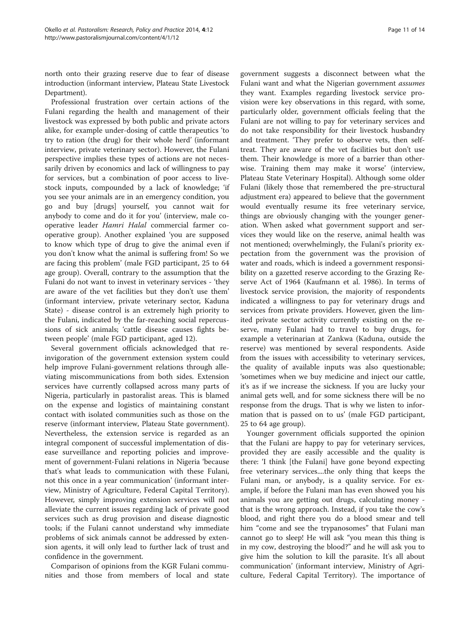north onto their grazing reserve due to fear of disease introduction (informant interview, Plateau State Livestock Department).

Professional frustration over certain actions of the Fulani regarding the health and management of their livestock was expressed by both public and private actors alike, for example under-dosing of cattle therapeutics 'to try to ration (the drug) for their whole herd' (informant interview, private veterinary sector). However, the Fulani perspective implies these types of actions are not necessarily driven by economics and lack of willingness to pay for services, but a combination of poor access to livestock inputs, compounded by a lack of knowledge; 'if you see your animals are in an emergency condition, you go and buy [drugs] yourself, you cannot wait for anybody to come and do it for you' (interview, male cooperative leader Hamri Halal commercial farmer cooperative group). Another explained 'you are supposed to know which type of drug to give the animal even if you don't know what the animal is suffering from! So we are facing this problem' (male FGD participant, 25 to 64 age group). Overall, contrary to the assumption that the Fulani do not want to invest in veterinary services - 'they are aware of the vet facilities but they don't use them' (informant interview, private veterinary sector, Kaduna State) - disease control is an extremely high priority to the Fulani, indicated by the far-reaching social repercussions of sick animals; 'cattle disease causes fights between people' (male FGD participant, aged 12).

Several government officials acknowledged that reinvigoration of the government extension system could help improve Fulani-government relations through alleviating miscommunications from both sides. Extension services have currently collapsed across many parts of Nigeria, particularly in pastoralist areas. This is blamed on the expense and logistics of maintaining constant contact with isolated communities such as those on the reserve (informant interview, Plateau State government). Nevertheless, the extension service is regarded as an integral component of successful implementation of disease surveillance and reporting policies and improvement of government-Fulani relations in Nigeria 'because that's what leads to communication with these Fulani, not this once in a year communication' (informant interview, Ministry of Agriculture, Federal Capital Territory). However, simply improving extension services will not alleviate the current issues regarding lack of private good services such as drug provision and disease diagnostic tools; if the Fulani cannot understand why immediate problems of sick animals cannot be addressed by extension agents, it will only lead to further lack of trust and confidence in the government.

Comparison of opinions from the KGR Fulani communities and those from members of local and state

government suggests a disconnect between what the Fulani want and what the Nigerian government assumes they want. Examples regarding livestock service provision were key observations in this regard, with some, particularly older, government officials feeling that the Fulani are not willing to pay for veterinary services and do not take responsibility for their livestock husbandry and treatment. 'They prefer to observe vets, then selftreat. They are aware of the vet facilities but don't use them. Their knowledge is more of a barrier than otherwise. Training them may make it worse' (interview, Plateau State Veterinary Hospital). Although some older Fulani (likely those that remembered the pre-structural adjustment era) appeared to believe that the government would eventually resume its free veterinary service, things are obviously changing with the younger generation. When asked what government support and services they would like on the reserve, animal health was not mentioned; overwhelmingly, the Fulani's priority expectation from the government was the provision of water and roads, which is indeed a government responsibility on a gazetted reserve according to the Grazing Reserve Act of 1964 (Kaufmann et al. [1986](#page-12-0)). In terms of livestock service provision, the majority of respondents indicated a willingness to pay for veterinary drugs and services from private providers. However, given the limited private sector activity currently existing on the reserve, many Fulani had to travel to buy drugs, for example a veterinarian at Zankwa (Kaduna, outside the reserve) was mentioned by several respondents. Aside from the issues with accessibility to veterinary services, the quality of available inputs was also questionable; 'sometimes when we buy medicine and inject our cattle, it's as if we increase the sickness. If you are lucky your animal gets well, and for some sickness there will be no response from the drugs. That is why we listen to information that is passed on to us' (male FGD participant, 25 to 64 age group).

Younger government officials supported the opinion that the Fulani are happy to pay for veterinary services, provided they are easily accessible and the quality is there: 'I think [the Fulani] have gone beyond expecting free veterinary services....the only thing that keeps the Fulani man, or anybody, is a quality service. For example, if before the Fulani man has even showed you his animals you are getting out drugs, calculating money that is the wrong approach. Instead, if you take the cow's blood, and right there you do a blood smear and tell him "come and see the trypanosomes" that Fulani man cannot go to sleep! He will ask "you mean this thing is in my cow, destroying the blood?" and he will ask you to give him the solution to kill the parasite. It's all about communication' (informant interview, Ministry of Agriculture, Federal Capital Territory). The importance of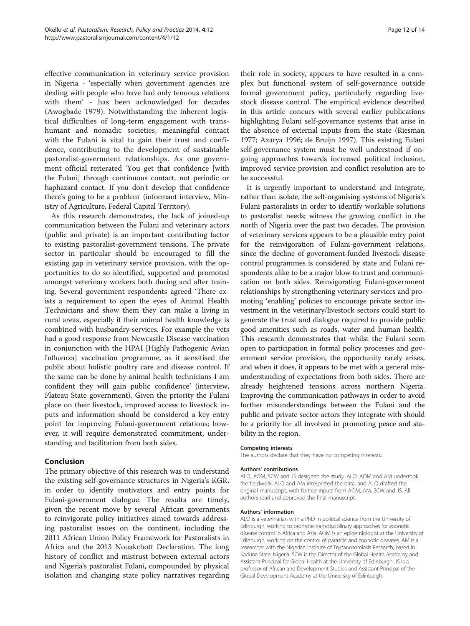effective communication in veterinary service provision in Nigeria - 'especially when government agencies are dealing with people who have had only tenuous relations with them' - has been acknowledged for decades (Awogbade [1979\)](#page-12-0). Notwithstanding the inherent logistical difficulties of long-term engagement with transhumant and nomadic societies, meaningful contact with the Fulani is vital to gain their trust and confidence, contributing to the development of sustainable pastoralist-government relationships. As one government official reiterated 'You get that confidence [with the Fulani] through continuous contact, not periodic or haphazard contact. If you don't develop that confidence there's going to be a problem' (informant interview, Ministry of Agriculture, Federal Capital Territory).

As this research demonstrates, the lack of joined-up communication between the Fulani and veterinary actors (public and private) is an important contributing factor to existing pastoralist-government tensions. The private sector in particular should be encouraged to fill the existing gap in veterinary service provision, with the opportunities to do so identified, supported and promoted amongst veterinary workers both during and after training. Several government respondents agreed 'There exists a requirement to open the eyes of Animal Health Technicians and show them they can make a living in rural areas, especially if their animal health knowledge is combined with husbandry services. For example the vets had a good response from Newcastle Disease vaccination in conjunction with the HPAI [Highly Pathogenic Avian Influenza] vaccination programme, as it sensitised the public about holistic poultry care and disease control. If the same can be done by animal health technicians I am confident they will gain public confidence' (interview, Plateau State government). Given the priority the Fulani place on their livestock, improved access to livestock inputs and information should be considered a key entry point for improving Fulani-government relations; however, it will require demonstrated commitment, understanding and facilitation from both sides.

# Conclusion

The primary objective of this research was to understand the existing self-governance structures in Nigeria's KGR, in order to identify motivators and entry points for Fulani-government dialogue. The results are timely, given the recent move by several African governments to reinvigorate policy initiatives aimed towards addressing pastoralist issues on the continent, including the 2011 African Union Policy Framework for Pastoralists in Africa and the 2013 Nouakchott Declaration. The long history of conflict and mistrust between external actors and Nigeria's pastoralist Fulani, compounded by physical isolation and changing state policy narratives regarding

their role in society, appears to have resulted in a complex but functional system of self-governance outside formal government policy, particularly regarding livestock disease control. The empirical evidence described in this article concurs with several earlier publications highlighting Fulani self-governance systems that arise in the absence of external inputs from the state (Riesman [1977](#page-13-0); Azarya [1996](#page-12-0); de Bruijn [1997](#page-12-0)). This existing Fulani self-governance system must be well understood if ongoing approaches towards increased political inclusion, improved service provision and conflict resolution are to be successful.

It is urgently important to understand and integrate, rather than isolate, the self-organising systems of Nigeria's Fulani pastoralists in order to identify workable solutions to pastoralist needs; witness the growing conflict in the north of Nigeria over the past two decades. The provision of veterinary services appears to be a plausible entry point for the reinvigoration of Fulani-government relations, since the decline of government-funded livestock disease control programmes is considered by state and Fulani respondents alike to be a major blow to trust and communication on both sides. Reinvigorating Fulani-government relationships by strengthening veterinary services and promoting 'enabling' policies to encourage private sector investment in the veterinary/livestock sectors could start to generate the trust and dialogue required to provide public good amenities such as roads, water and human health. This research demonstrates that whilst the Fulani seem open to participation in formal policy processes and government service provision, the opportunity rarely arises, and when it does, it appears to be met with a general misunderstanding of expectations from both sides. There are already heightened tensions across northern Nigeria. Improving the communication pathways in order to avoid further misunderstandings between the Fulani and the public and private sector actors they integrate with should be a priority for all involved in promoting peace and stability in the region.

### Competing interests

The authors declare that they have no competing interests.

### Authors' contributions

ALO, AOM, SCW and JS designed the study. ALO, AOM and AM undertook the fieldwork. ALO and AM interpreted the data, and ALO drafted the original manuscript, with further inputs from AOM, AM, SCW and JS. All authors read and approved the final manuscript.

### Authors' information

ALO is a veterinarian with a PhD in political science from the University of Edinburgh, working to promote transdisciplinary approaches for zoonotic disease control in Africa and Asia. AOM is an epidemiologist at the University of Edinburgh, working on the control of parasitic and zoonotic diseases. AM is a researcher with the Nigerian Institute of Trypanosomiasis Research, based in Kaduna State, Nigeria. SCW is the Director of the Global Health Academy and Assistant Principal for Global Health at the University of Edinburgh. JS is a professor of African and Development Studies and Assistant Principal of the Global Development Academy at the University of Edinburgh.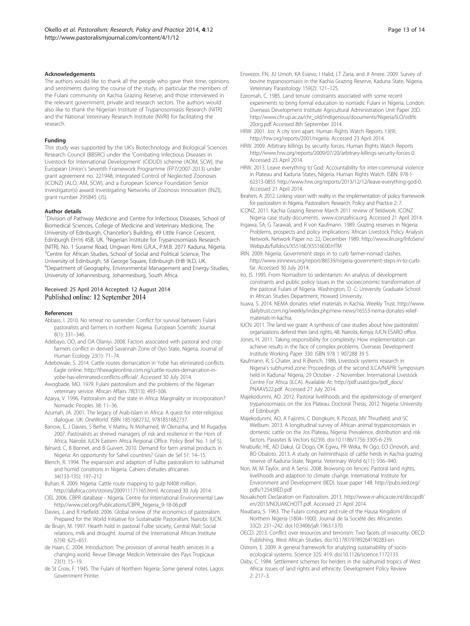### <span id="page-12-0"></span>Acknowledgements

The authors would like to thank all the people who gave their time, opinions and sentiments during the course of the study, in particular the members of the Fulani community on Kachia Grazing Reserve, and those interviewed in the relevant government, private and research sectors. The authors would also like to thank the Nigerian Institute of Trypanosomiasis Research (NITR) and the National Veterinary Research Institute (NVRI) for facilitating the research.

### Funding

This study was supported by the UK's Biotechnology and Biological Sciences Research Council (BBSRC) under the 'Combating Infectious Diseases in Livestock for International Development' (CIDLID) scheme (AOM, SCW), the European Union's Seventh Framework Programme (FP7/2007-2013) under grant agreement no. 221948, Integrated Control of Neglected Zoonoses (ICONZ) (ALO, AM, SCW), and a European Science Foundation Senior investigator(s) award Investigating Networks of Zoonosis Innovation (INZI), grant number 295845 (JS).

### Author details

<sup>1</sup> Division of Pathway Medicine and Centre for Infectious Diseases, School of Biomedical Sciences, College of Medicine and Veterinary Medicine, The University of Edinburgh, Chancellor's Building, 49 Little France Crescent, Edinburgh EH16 4SB, UK. <sup>2</sup>Nigerian Institute for Trypanosomiasis Research (NITR), No. 1 Surame Road, Ungwan Rimi G.R.A., P.M.B. 2077 Kaduna, Nigeria. <sup>3</sup>Centre for African Studies, School of Social and Political Science, The University of Edinburgh, 58 George Square, Edinburgh EH8 9LD, UK. 4 Department of Geography, Environmental Management and Energy Studies, University of Johannesburg, Johannesburg, South Africa.

### Received: 25 April 2014 Accepted: 12 August 2014 Published online: 12 September 2014

### References

- Abbass, I. 2010. No retreat no surrender: Conflict for survival between Fulani pastoralists and farmers in northern Nigeria. European Scientific Journal 8(1): 331–346.
- Adebayo, OO, and OA Olaniyi. 2008. Factors associated with pastoral and crop farmers conflict in derived Savannah Zone of Oyo State, Nigeria. Journal of Human Ecology 23(1): 71–74.
- Adebowale, S. 2014. Cattle routes demarcation in Yobe has eliminated conflicts. Eagle online. [http://theeagleonline.com.ng/cattle-routes-demarcation-in](http://theeagleonline.com.ng/cattle-routes-demarcation-in-yobe-has-eliminated-conflicts-official/)[yobe-has-eliminated-conflicts-official/.](http://theeagleonline.com.ng/cattle-routes-demarcation-in-yobe-has-eliminated-conflicts-official/) Accessed 30 July 2014.
- Awogbade, MO. 1979. Fulani pastoralism and the problems of the Nigerian veterinary service. African Affairs 78(313): 493–506.
- Azarya, V. 1996. Pastoralism and the state in Africa: Marginality or incorporation? Nomadic Peoples 38: 11–36.
- Azumah, JA. 2001. The legacy of Arab-Islam in Africa: A quest for inter-religious dialogue. UK: OneWorld. ISBN 1851682732, 9781851682737.
- Barrow, E, J Davies, S Berhe, V Matiru, N Mohamed, W Olenasha, and M Rugadya. 2007. Pastoralists as shrewd managers of risk and resilience in the Horn of Africa. Nairobi: IUCN Eastern Africa Regional Office. Policy Brief No. 1 (of 5).
- Bénard, C, B Bonnet, and B Guivert. 2010. Demand for farm animal products in Nigeria: An opportunity for Sahel countries? Grain de Sel 51: 14–15.
- Blench, R. 1994. The expansion and adaption of Fulbe pastoralism to subhumid and humid consitions in Nigeria. Cahiers d'etudes africaines 34(133-135): 197–212
- Buhari, R. 2009. Nigeria: Cattle route mapping to gulp N408 million. [http://allafrica.com/stories/200911171165.html.](http://allafrica.com/stories/200911171165.html) Accessed 30 July 2014.
- CIEL 2006. CBPR database Nigeria. Centre for International Environmental Law [http://www.ciel.org/Publications/CBPR\\_Nigeria\\_9-18-06.pdf](http://www.ciel.org/Publications/CBPR_Nigeria_9-18-06.pdf)
- Davies, J, and R Hatfield. 2006. Global review of the economics of pastoralism. Prepared for the World Initiative for Sustainable Pastoralism. Nairobi: IUCN.
- de Bruijn, M. 1997. Hearth hold in pastoral Fulbe society, Central Mali: Social relations, milk and drought. Journal of the International African Institute 67(4): 625–651.
- de Haan, C. 2004. Introduction: The provision of animal health services in a changing world. Revue Elevage Medicin Veterinaire des Pays Tropicaux 23(1): 15–19.
- de St Croix, F. 1945. The Fulani of Northern Nigeria: Some general notes. Lagos: Government Printer.
- Enwezor, FN, JU Umoh, KA Esievo, I Halid, LT Zaria, and JI Anere. 2009. Survey of bovine trypanosomiasis in the Kachia Grazing Reserve, Kaduna State, Nigeria. Veterinary Parasitology 159(2): 121–125.
- Ezeomah, C. 1985. Land tenure constraints associated with some recent experiments to bring formal education to nomadic Fulani in Nigeria. London: Overseas Development Institute Agricultural Administration Unit Paper 20D. [http://www.chr.up.ac.za/chr\\_old/indigenous/documents/Nigeria/ILO/odi%](http://www.chr.up.ac.za/chr_old/indigenous/documents/Nigeria/ILO/odi%20org.pdf) [20org.pdf](http://www.chr.up.ac.za/chr_old/indigenous/documents/Nigeria/ILO/odi%20org.pdf) Accessed 8th September 2014.
- HRW. 2001. Jos: A city torn apart. Human Rights Watch Reports 13(9). [http://hrw.org/reports/2001/nigeria.](http://hrw.org/reports/2001/nigeria) Accessed 23 April 2014.
- HRW. 2009. Arbitrary killings by security forces. Human Rights Watch Reports <http://www.hrw.org/reports/2009/07/20/arbitrary-killings-security-forces-0>. Accessed 23 April 2014.
- HRW. 2013. Leave everything to God: Accountability for inter-communal violence in Plateau and Kaduna States, Nigeria. Human Rights Watch. ISBN: 978-1- 62313-0855 [http://www.hrw.org/reports/2013/12/12/leave-everything-god-0.](http://www.hrw.org/reports/2013/12/12/leave-everything-god-0) Accessed 21 April 2014.
- Ibrahim, A. 2012. Linking vision with reality in the implementation of policy framework for pastoralism in Nigeria. Pastoralism: Research, Policy and Practice 2: 7.
- ICONZ. 2011. Kachia Grazing Reserve March 2011 review of fieldwork. ICONZ Nigeria case study documents.. [www.iconzafrica.org.](http://www.iconzafrica.org) Accessed 21 April 2014.
- Ingawa, SA, G Tarawali, and R von Kaufmann. 1989. Grazing reserves in Nigeria: Problems, prospects and policy implications. African Livestock Policy Analysis Network. Network Paper no. 22, December 1989. [http://www.ilri.org/InfoServ/](http://www.ilri.org/InfoServ/Webpub/fulldocs/X5516E/X5516E00.HTM) [Webpub/fulldocs/X5516E/X5516E00.HTM](http://www.ilri.org/InfoServ/Webpub/fulldocs/X5516E/X5516E00.HTM)
- IRIN. 2009. Nigeria: Government steps in to curb farmer-nomad clashes. [http://www.irinnews.org/report/86539/nigeria-government-steps-in-to-curb](http://www.irinnews.org/report/86539/nigeria-government-steps-in-to-curb-far)[far.](http://www.irinnews.org/report/86539/nigeria-government-steps-in-to-curb-far) Accessed 30 July 2014.
- Iro, IS. 1995. From Nomadism to sedentarism: An analysis of development constraints and public policy issues in the socioeconomic transformation of the pastoral Fulani of Nigeria. Washington, D. C: University Graduate School in African Studies Department, Howard University.
- Isuwa, S. 2014. NEMA donates relief materials in Kachia. Weekly Trust. [http://www.](http://www.dailytrust.com.ng/weekly/index.php/new-news/16553-nema-donates-relief-materials-in-kachia) [dailytrust.com.ng/weekly/index.php/new-news/16553-nema-donates-relief](http://www.dailytrust.com.ng/weekly/index.php/new-news/16553-nema-donates-relief-materials-in-kachia)[materials-in-kachia](http://www.dailytrust.com.ng/weekly/index.php/new-news/16553-nema-donates-relief-materials-in-kachia).
- IUCN. 2011. The land we graze: A synthesis of case studies about how pastoralists' organizations defend their land rights, 48. Nairobi, Kenya: IUCN ESARO office.
- Jones, H. 2011. Taking responsibility for complexity: How implementation can achieve results in the face of complex problems. Overseas Development Institute Working Paper 330. ISBN 978 1 907288 39 5.
- Kaufmann, R, S Chater, and R Blench. 1986. Livestock systems research in Nigeria's subhumid zone: Proceedings of the second ILCA/NAPRI Symposium held in Kaduna/ Nigeria, 29 October - 2 November. International Livestock Centre For Africa (ILCA). Available At: [http://pdf.usaid.gov/pdf\\_docs/](http://pdf.usaid.gov/pdf_docs/PNAAV522.pdf) [PNAAV522.pdf.](http://pdf.usaid.gov/pdf_docs/PNAAV522.pdf) Accessed 27 July 2014.
- Majekodunmi, AO. 2012. Pastoral livelihoods and the epidemiology of emergent trypanosomiasis on the Jos Plateau. Doctoral Thesis, 2012. Nigeria: University of Edinburgh.
- Majekodunmi, AO, A Fajinmi, C Dongkum, K Picozzi, MV Thrusfield, and SC Welburn. 2013. A longitudinal survey of African animal trypanosomiasis in domestic cattle on the Jos Plateau, Nigeria: Prevalence, distribution and risk factors. Parasites & Vectors 6(239). doi:10.1186/1756-3305-6-239.
- Nnabuife, HE, AD Dakul, GI Dogo, OK Egwu, PR Weka, IN Ogo, EO Onovoh, and BO Obaloto. 2013. A study on helminthiasis of cattle herds in Kachia grazing reserve of Kaduna State, Nigeria. Veterinary World 6(11): 936–940.
- Nori, M, M Taylor, and A Sensi. 2008. Browsing on fences: Pastoral land rights, livelihoods and adaption to climate change. International Institute for Environment and Development (IIED). Issue paper 148. [http://pubs.iied.org/](http://pubs.iied.org/pdfs/12543IIED.pdf) [pdfs/12543IIED.pdf](http://pubs.iied.org/pdfs/12543IIED.pdf)
- Nouakchott Declaration on Pastoralism. 2013. [http://www.rr-africa.oie.int/docspdf/](http://www.rr-africa.oie.int/docspdf/en/2013/NOUAKCHOTT.pdf) [en/2013/NOUAKCHOTT.pdf](http://www.rr-africa.oie.int/docspdf/en/2013/NOUAKCHOTT.pdf). Accessed 21 April 2014.
- Nwabara, S. 1963. The Fulani conquest and rule of the Hausa Kingdom of Northern Nigeria (1804–1900). Journal de la Société des Africanistes 33(2): 231–242. doi:10.3406/jafr.1963.1370.
- OECD. 2013. Conflict over resources and terrorism: Two facets of insecurity. OECD Publishing, West African Studies. doi:10.1787/9789264190283-en.
- Ostrom, E. 2009. A general framework for analyzing sustainability of socioecological systems. Science 325: 419. doi:10.1126/science.1172133.
- Oxby, C. 1984. Settlement schemes for herders in the subhumid tropics of West Africa: Issues of land rights and ethnicity. Development Policy Review 2: 217–3.